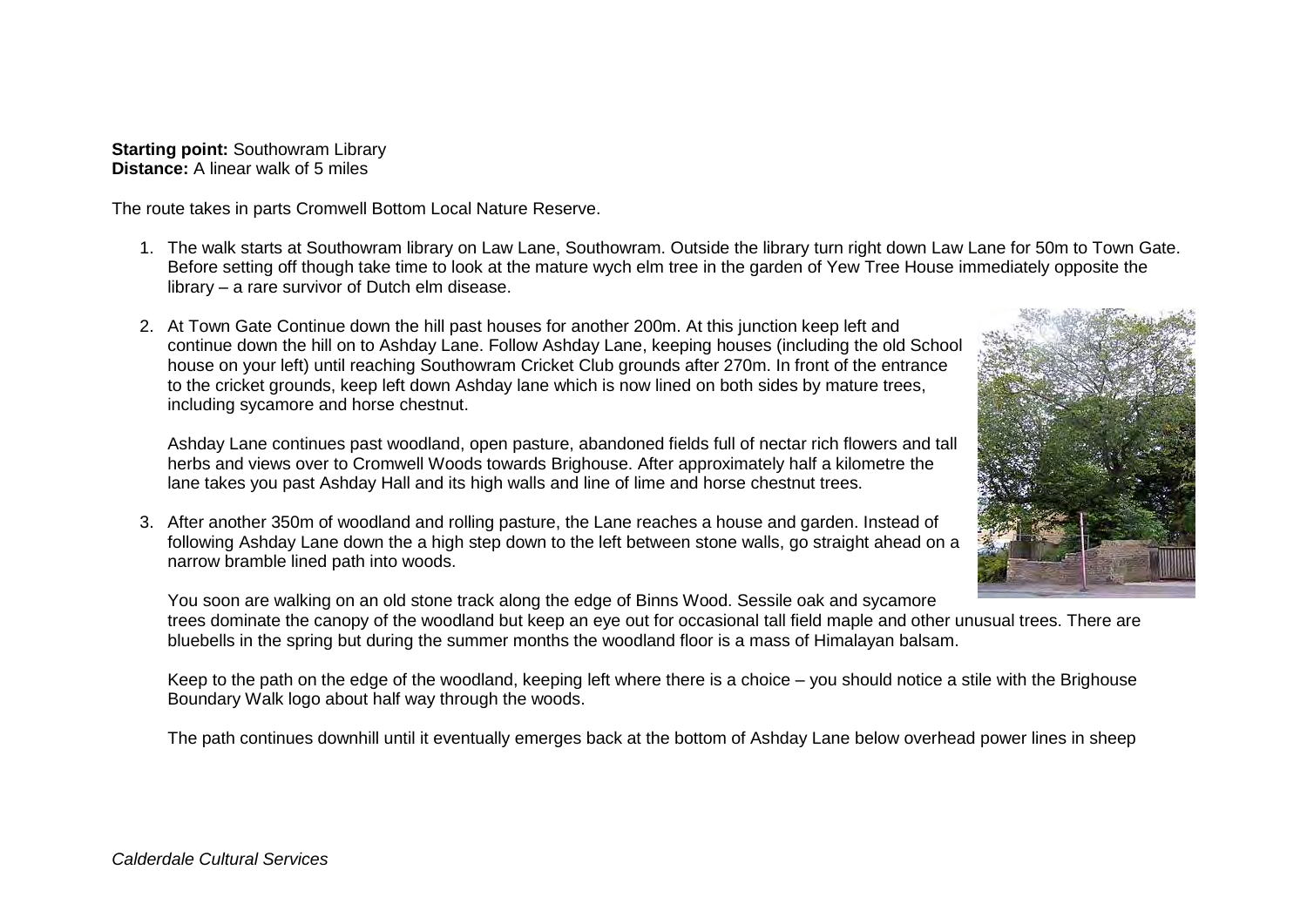**Starting point:** Southowram Library **Distance:** A linear walk of 5 miles

The route takes in parts Cromwell Bottom Local Nature Reserve.

- 1. The walk starts at Southowram library on Law Lane, Southowram. Outside the library turn right down Law Lane for 50m to Town Gate. Before setting off though take time to look at the mature wych elm tree in the garden of Yew Tree House immediately opposite the library – a rare survivor of Dutch elm disease.
- 2. At Town Gate Continue down the hill past houses for another 200m. At this junction keep left and continue down the hill on to Ashday Lane. Follow Ashday Lane, keeping houses (including the old School house on your left) until reaching Southowram Cricket Club grounds after 270m. In front of the entrance to the cricket grounds, keep left down Ashday lane which is now lined on both sides by mature trees, including sycamore and horse chestnut.

Ashday Lane continues past woodland, open pasture, abandoned fields full of nectar rich flowers and tall herbs and views over to Cromwell Woods towards Brighouse. After approximately half a kilometre the lane takes you past Ashday Hall and its high walls and line of lime and horse chestnut trees.

3. After another 350m of woodland and rolling pasture, the Lane reaches a house and garden. Instead of following Ashday Lane down the a high step down to the left between stone walls, go straight ahead on a narrow bramble lined path into woods.



You soon are walking on an old stone track along the edge of Binns Wood. Sessile oak and sycamore trees dominate the canopy of the woodland but keep an eye out for occasional tall field maple and other unusual trees. There are bluebells in the spring but during the summer months the woodland floor is a mass of Himalayan balsam.

Keep to the path on the edge of the woodland, keeping left where there is a choice – you should notice a stile with the Brighouse Boundary Walk logo about half way through the woods.

The path continues downhill until it eventually emerges back at the bottom of Ashday Lane below overhead power lines in sheep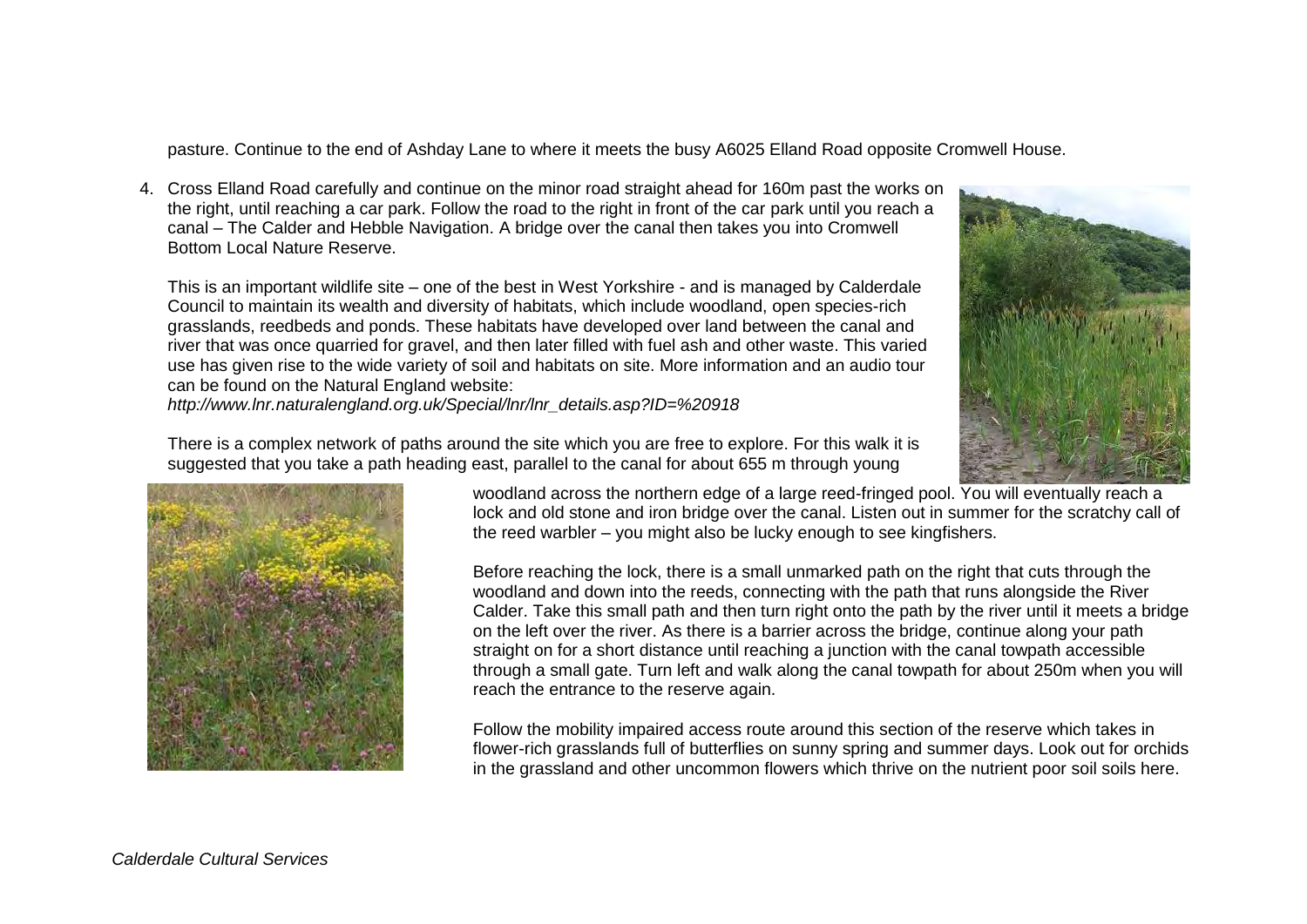pasture. Continue to the end of Ashday Lane to where it meets the busy A6025 Elland Road opposite Cromwell House.

4. Cross Elland Road carefully and continue on the minor road straight ahead for 160m past the works on the right, until reaching a car park. Follow the road to the right in front of the car park until you reach a canal – The Calder and Hebble Navigation. A bridge over the canal then takes you into Cromwell Bottom Local Nature Reserve.

This is an important wildlife site – one of the best in West Yorkshire - and is managed by Calderdale Council to maintain its wealth and diversity of habitats, which include woodland, open species-rich grasslands, reedbeds and ponds. These habitats have developed over land between the canal and river that was once quarried for gravel, and then later filled with fuel ash and other waste. This varied use has given rise to the wide variety of soil and habitats on site. More information and an audio tour can be found on the Natural England website:

*http://www.lnr.naturalengland.org.uk/Special/lnr/lnr\_details.asp?ID=%20918* 



There is a complex network of paths around the site which you are free to explore. For this walk it is suggested that you take a path heading east, parallel to the canal for about 655 m through young

woodland across the northern edge of a large reed-fringed pool. You will eventually reach a lock and old stone and iron bridge over the canal. Listen out in summer for the scratchy call of the reed warbler – you might also be lucky enough to see kingfishers.

Before reaching the lock, there is a small unmarked path on the right that cuts through the woodland and down into the reeds, connecting with the path that runs alongside the River Calder. Take this small path and then turn right onto the path by the river until it meets a bridge on the left over the river. As there is a barrier across the bridge, continue along your path straight on for a short distance until reaching a junction with the canal towpath accessible through a small gate. Turn left and walk along the canal towpath for about 250m when you will reach the entrance to the reserve again.

Follow the mobility impaired access route around this section of the reserve which takes in flower-rich grasslands full of butterflies on sunny spring and summer days. Look out for orchids in the grassland and other uncommon flowers which thrive on the nutrient poor soil soils here.